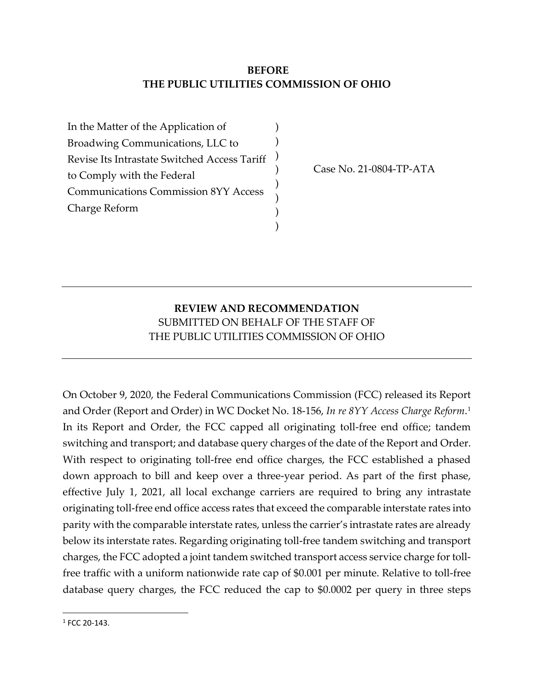## **BEFORE THE PUBLIC UTILITIES COMMISSION OF OHIO**

) ) ) ) ) ) ) )

In the Matter of the Application of Broadwing Communications, LLC to Revise Its Intrastate Switched Access Tariff to Comply with the Federal Communications Commission 8YY Access Charge Reform

Case No. 21-0804-TP-ATA

## **REVIEW AND RECOMMENDATION** SUBMITTED ON BEHALF OF THE STAFF OF THE PUBLIC UTILITIES COMMISSION OF OHIO

On October 9, 2020, the Federal Communications Commission (FCC) released its Report and Order (Report and Order) in WC Docket No. 18-156, *In re 8YY Access Charge Reform*.[1](#page-0-0) In its Report and Order, the FCC capped all originating toll-free end office; tandem switching and transport; and database query charges of the date of the Report and Order. With respect to originating toll-free end office charges, the FCC established a phased down approach to bill and keep over a three-year period. As part of the first phase, effective July 1, 2021, all local exchange carriers are required to bring any intrastate originating toll-free end office access rates that exceed the comparable interstate rates into parity with the comparable interstate rates, unless the carrier's intrastate rates are already below its interstate rates. Regarding originating toll-free tandem switching and transport charges, the FCC adopted a joint tandem switched transport access service charge for tollfree traffic with a uniform nationwide rate cap of \$0.001 per minute. Relative to toll-free database query charges, the FCC reduced the cap to \$0.0002 per query in three steps

<span id="page-0-0"></span> $1 FCC 20-143$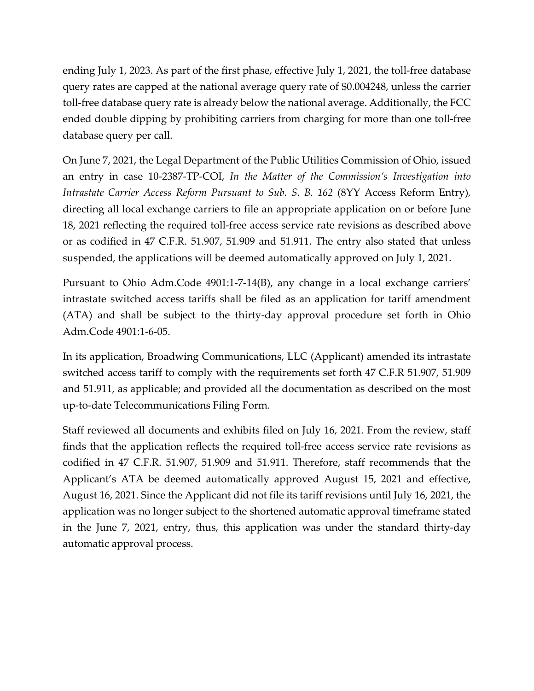ending July 1, 2023. As part of the first phase, effective July 1, 2021, the toll-free database query rates are capped at the national average query rate of \$0.004248, unless the carrier toll-free database query rate is already below the national average. Additionally, the FCC ended double dipping by prohibiting carriers from charging for more than one toll-free database query per call.

On June 7, 2021, the Legal Department of the Public Utilities Commission of Ohio, issued an entry in case 10-2387-TP-COI, *In the Matter of the Commission's Investigation into Intrastate Carrier Access Reform Pursuant to Sub. S. B. 162* (8YY Access Reform Entry)*,* directing all local exchange carriers to file an appropriate application on or before June 18, 2021 reflecting the required toll-free access service rate revisions as described above or as codified in 47 C.F.R. 51.907, 51.909 and 51.911. The entry also stated that unless suspended, the applications will be deemed automatically approved on July 1, 2021.

Pursuant to Ohio Adm.Code 4901:1-7-14(B), any change in a local exchange carriers' intrastate switched access tariffs shall be filed as an application for tariff amendment (ATA) and shall be subject to the thirty-day approval procedure set forth in Ohio Adm.Code 4901:1-6-05.

In its application, Broadwing Communications, LLC (Applicant) amended its intrastate switched access tariff to comply with the requirements set forth 47 C.F.R 51.907, 51.909 and 51.911, as applicable; and provided all the documentation as described on the most up-to-date Telecommunications Filing Form.

Staff reviewed all documents and exhibits filed on July 16, 2021. From the review, staff finds that the application reflects the required toll-free access service rate revisions as codified in 47 C.F.R. 51.907, 51.909 and 51.911. Therefore, staff recommends that the Applicant's ATA be deemed automatically approved August 15, 2021 and effective, August 16, 2021. Since the Applicant did not file its tariff revisions until July 16, 2021, the application was no longer subject to the shortened automatic approval timeframe stated in the June 7, 2021, entry, thus, this application was under the standard thirty-day automatic approval process.